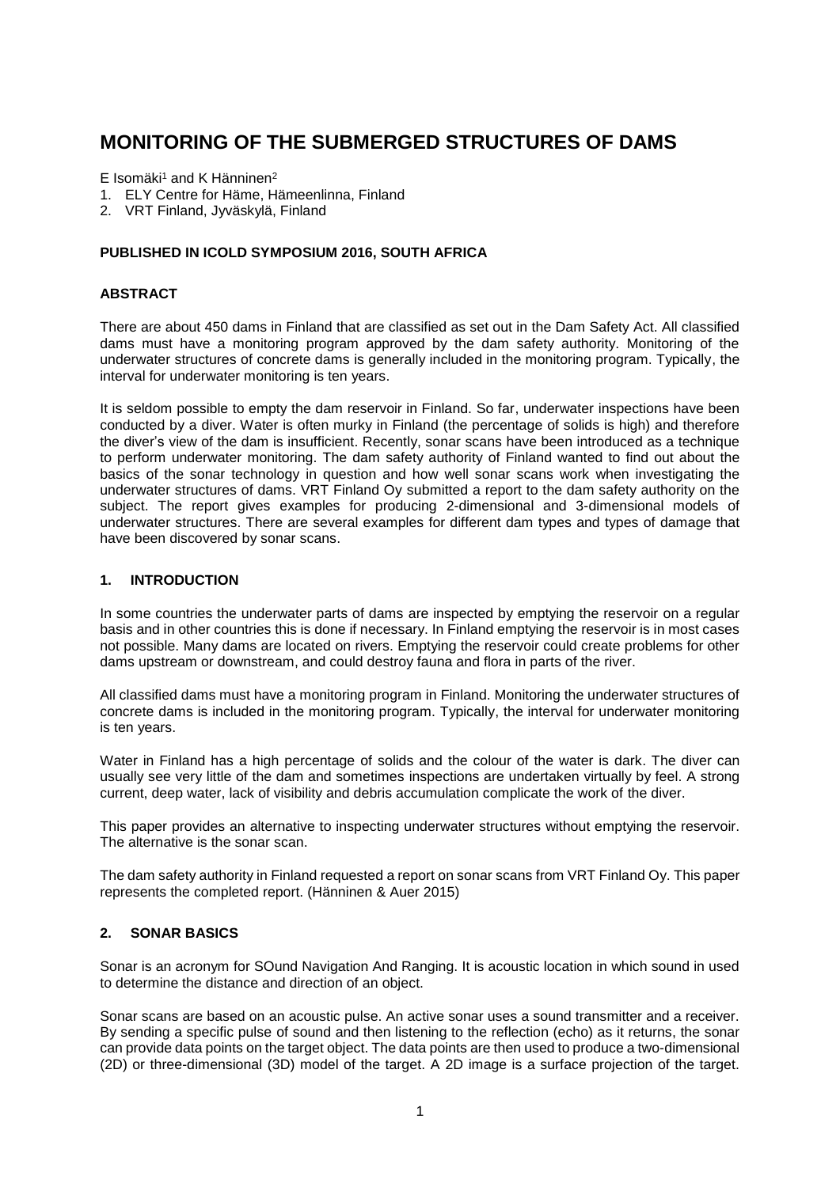# **MONITORING OF THE SUBMERGED STRUCTURES OF DAMS**

 $E$  Isomäki<sup>1</sup> and K Hänninen<sup>2</sup>

- 1. ELY Centre for Häme, Hämeenlinna, Finland
- 2. VRT Finland, Jyväskylä, Finland

## **PUBLISHED IN ICOLD SYMPOSIUM 2016, SOUTH AFRICA**

#### **ABSTRACT**

There are about 450 dams in Finland that are classified as set out in the Dam Safety Act. All classified dams must have a monitoring program approved by the dam safety authority. Monitoring of the underwater structures of concrete dams is generally included in the monitoring program. Typically, the interval for underwater monitoring is ten years.

It is seldom possible to empty the dam reservoir in Finland. So far, underwater inspections have been conducted by a diver. Water is often murky in Finland (the percentage of solids is high) and therefore the diver's view of the dam is insufficient. Recently, sonar scans have been introduced as a technique to perform underwater monitoring. The dam safety authority of Finland wanted to find out about the basics of the sonar technology in question and how well sonar scans work when investigating the underwater structures of dams. VRT Finland Oy submitted a report to the dam safety authority on the subject. The report gives examples for producing 2-dimensional and 3-dimensional models of underwater structures. There are several examples for different dam types and types of damage that have been discovered by sonar scans.

## **1. INTRODUCTION**

In some countries the underwater parts of dams are inspected by emptying the reservoir on a regular basis and in other countries this is done if necessary. In Finland emptying the reservoir is in most cases not possible. Many dams are located on rivers. Emptying the reservoir could create problems for other dams upstream or downstream, and could destroy fauna and flora in parts of the river.

All classified dams must have a monitoring program in Finland. Monitoring the underwater structures of concrete dams is included in the monitoring program. Typically, the interval for underwater monitoring is ten years.

Water in Finland has a high percentage of solids and the colour of the water is dark. The diver can usually see very little of the dam and sometimes inspections are undertaken virtually by feel. A strong current, deep water, lack of visibility and debris accumulation complicate the work of the diver.

This paper provides an alternative to inspecting underwater structures without emptying the reservoir. The alternative is the sonar scan.

The dam safety authority in Finland requested a report on sonar scans from VRT Finland Oy. This paper represents the completed report. (Hänninen & Auer 2015)

## **2. SONAR BASICS**

Sonar is an acronym for SOund Navigation And Ranging. It is acoustic location in which sound in used to determine the distance and direction of an object.

Sonar scans are based on an acoustic pulse. An active sonar uses a sound transmitter and a receiver. By sending a specific pulse of sound and then listening to the reflection (echo) as it returns, the sonar can provide data points on the target object. The data points are then used to produce a two-dimensional (2D) or three-dimensional (3D) model of the target. A 2D image is a surface projection of the target.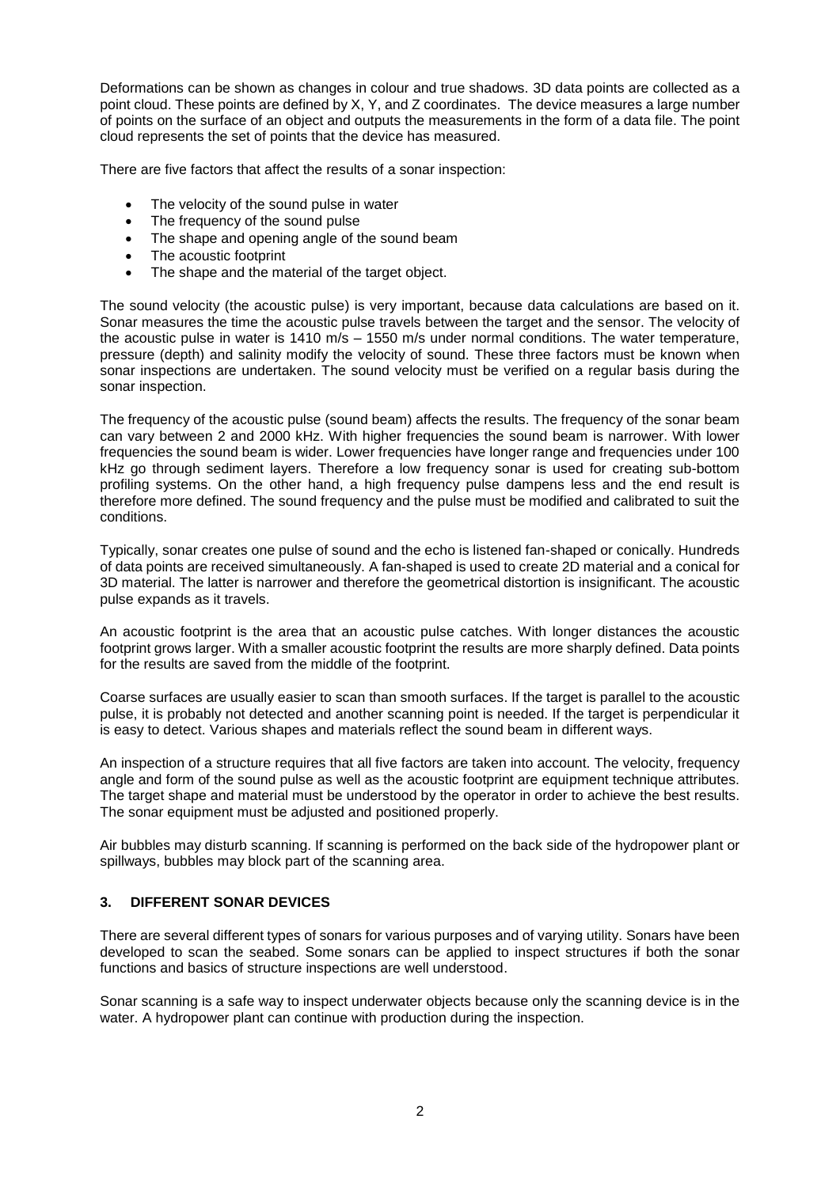Deformations can be shown as changes in colour and true shadows. 3D data points are collected as a point cloud. These points are defined by X, Y, and Z coordinates. The device measures a large number of points on the surface of an object and outputs the measurements in the form of a data file. The point cloud represents the set of points that the device has measured.

There are five factors that affect the results of a sonar inspection:

- The velocity of the sound pulse in water
- The frequency of the sound pulse
- The shape and opening angle of the sound beam
- The acoustic footprint
- The shape and the material of the target object.

The sound velocity (the acoustic pulse) is very important, because data calculations are based on it. Sonar measures the time the acoustic pulse travels between the target and the sensor. The velocity of the acoustic pulse in water is 1410 m/s – 1550 m/s under normal conditions. The water temperature, pressure (depth) and salinity modify the velocity of sound. These three factors must be known when sonar inspections are undertaken. The sound velocity must be verified on a regular basis during the sonar inspection.

The frequency of the acoustic pulse (sound beam) affects the results. The frequency of the sonar beam can vary between 2 and 2000 kHz. With higher frequencies the sound beam is narrower. With lower frequencies the sound beam is wider. Lower frequencies have longer range and frequencies under 100 kHz go through sediment layers. Therefore a low frequency sonar is used for creating sub-bottom profiling systems. On the other hand, a high frequency pulse dampens less and the end result is therefore more defined. The sound frequency and the pulse must be modified and calibrated to suit the conditions.

Typically, sonar creates one pulse of sound and the echo is listened fan-shaped or conically. Hundreds of data points are received simultaneously. A fan-shaped is used to create 2D material and a conical for 3D material. The latter is narrower and therefore the geometrical distortion is insignificant. The acoustic pulse expands as it travels.

An acoustic footprint is the area that an acoustic pulse catches. With longer distances the acoustic footprint grows larger. With a smaller acoustic footprint the results are more sharply defined. Data points for the results are saved from the middle of the footprint.

Coarse surfaces are usually easier to scan than smooth surfaces. If the target is parallel to the acoustic pulse, it is probably not detected and another scanning point is needed. If the target is perpendicular it is easy to detect. Various shapes and materials reflect the sound beam in different ways.

An inspection of a structure requires that all five factors are taken into account. The velocity, frequency angle and form of the sound pulse as well as the acoustic footprint are equipment technique attributes. The target shape and material must be understood by the operator in order to achieve the best results. The sonar equipment must be adjusted and positioned properly.

Air bubbles may disturb scanning. If scanning is performed on the back side of the hydropower plant or spillways, bubbles may block part of the scanning area.

#### **3. DIFFERENT SONAR DEVICES**

There are several different types of sonars for various purposes and of varying utility. Sonars have been developed to scan the seabed. Some sonars can be applied to inspect structures if both the sonar functions and basics of structure inspections are well understood.

Sonar scanning is a safe way to inspect underwater objects because only the scanning device is in the water. A hydropower plant can continue with production during the inspection.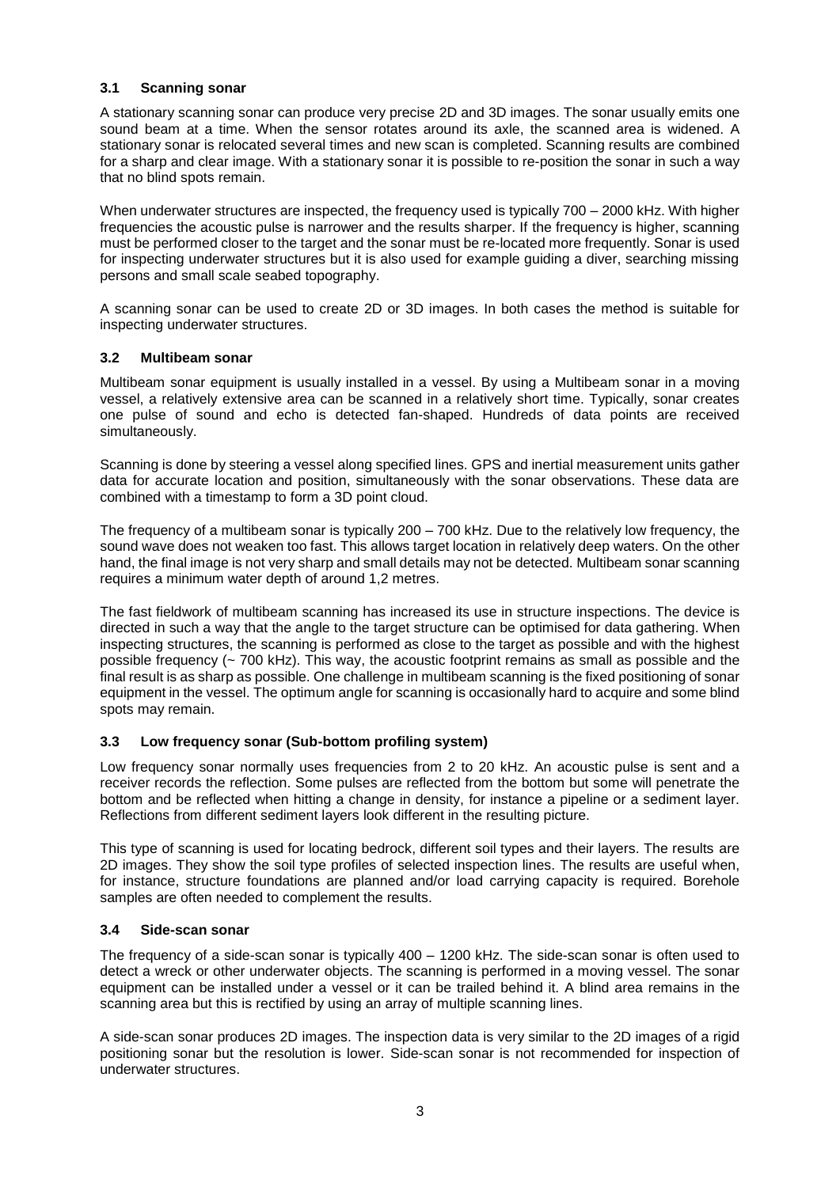## **3.1 Scanning sonar**

A stationary scanning sonar can produce very precise 2D and 3D images. The sonar usually emits one sound beam at a time. When the sensor rotates around its axle, the scanned area is widened. A stationary sonar is relocated several times and new scan is completed. Scanning results are combined for a sharp and clear image. With a stationary sonar it is possible to re-position the sonar in such a way that no blind spots remain.

When underwater structures are inspected, the frequency used is typically 700 – 2000 kHz. With higher frequencies the acoustic pulse is narrower and the results sharper. If the frequency is higher, scanning must be performed closer to the target and the sonar must be re-located more frequently. Sonar is used for inspecting underwater structures but it is also used for example guiding a diver, searching missing persons and small scale seabed topography.

A scanning sonar can be used to create 2D or 3D images. In both cases the method is suitable for inspecting underwater structures.

## **3.2 Multibeam sonar**

Multibeam sonar equipment is usually installed in a vessel. By using a Multibeam sonar in a moving vessel, a relatively extensive area can be scanned in a relatively short time. Typically, sonar creates one pulse of sound and echo is detected fan-shaped. Hundreds of data points are received simultaneously.

Scanning is done by steering a vessel along specified lines. GPS and inertial measurement units gather data for accurate location and position, simultaneously with the sonar observations. These data are combined with a timestamp to form a 3D point cloud.

The frequency of a multibeam sonar is typically 200 – 700 kHz. Due to the relatively low frequency, the sound wave does not weaken too fast. This allows target location in relatively deep waters. On the other hand, the final image is not very sharp and small details may not be detected. Multibeam sonar scanning requires a minimum water depth of around 1,2 metres.

The fast fieldwork of multibeam scanning has increased its use in structure inspections. The device is directed in such a way that the angle to the target structure can be optimised for data gathering. When inspecting structures, the scanning is performed as close to the target as possible and with the highest possible frequency (~ 700 kHz). This way, the acoustic footprint remains as small as possible and the final result is as sharp as possible. One challenge in multibeam scanning is the fixed positioning of sonar equipment in the vessel. The optimum angle for scanning is occasionally hard to acquire and some blind spots may remain.

## **3.3 Low frequency sonar (Sub-bottom profiling system)**

Low frequency sonar normally uses frequencies from 2 to 20 kHz. An acoustic pulse is sent and a receiver records the reflection. Some pulses are reflected from the bottom but some will penetrate the bottom and be reflected when hitting a change in density, for instance a pipeline or a sediment layer. Reflections from different sediment layers look different in the resulting picture.

This type of scanning is used for locating bedrock, different soil types and their layers. The results are 2D images. They show the soil type profiles of selected inspection lines. The results are useful when, for instance, structure foundations are planned and/or load carrying capacity is required. Borehole samples are often needed to complement the results.

## **3.4 Side-scan sonar**

The frequency of a side-scan sonar is typically 400 – 1200 kHz. The side-scan sonar is often used to detect a wreck or other underwater objects. The scanning is performed in a moving vessel. The sonar equipment can be installed under a vessel or it can be trailed behind it. A blind area remains in the scanning area but this is rectified by using an array of multiple scanning lines.

A side-scan sonar produces 2D images. The inspection data is very similar to the 2D images of a rigid positioning sonar but the resolution is lower. Side-scan sonar is not recommended for inspection of underwater structures.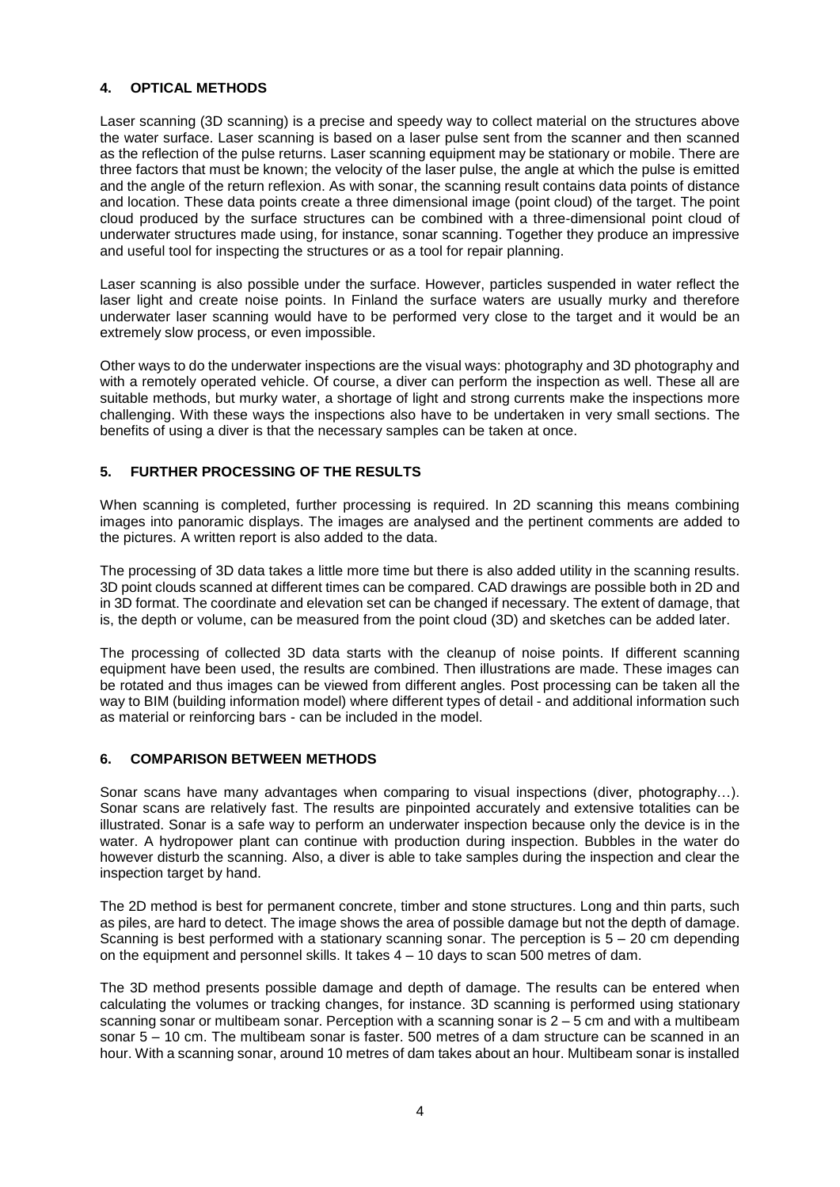## **4. OPTICAL METHODS**

Laser scanning (3D scanning) is a precise and speedy way to collect material on the structures above the water surface. Laser scanning is based on a laser pulse sent from the scanner and then scanned as the reflection of the pulse returns. Laser scanning equipment may be stationary or mobile. There are three factors that must be known; the velocity of the laser pulse, the angle at which the pulse is emitted and the angle of the return reflexion. As with sonar, the scanning result contains data points of distance and location. These data points create a three dimensional image (point cloud) of the target. The point cloud produced by the surface structures can be combined with a three-dimensional point cloud of underwater structures made using, for instance, sonar scanning. Together they produce an impressive and useful tool for inspecting the structures or as a tool for repair planning.

Laser scanning is also possible under the surface. However, particles suspended in water reflect the laser light and create noise points. In Finland the surface waters are usually murky and therefore underwater laser scanning would have to be performed very close to the target and it would be an extremely slow process, or even impossible.

Other ways to do the underwater inspections are the visual ways: photography and 3D photography and with a remotely operated vehicle. Of course, a diver can perform the inspection as well. These all are suitable methods, but murky water, a shortage of light and strong currents make the inspections more challenging. With these ways the inspections also have to be undertaken in very small sections. The benefits of using a diver is that the necessary samples can be taken at once.

## **5. FURTHER PROCESSING OF THE RESULTS**

When scanning is completed, further processing is required. In 2D scanning this means combining images into panoramic displays. The images are analysed and the pertinent comments are added to the pictures. A written report is also added to the data.

The processing of 3D data takes a little more time but there is also added utility in the scanning results. 3D point clouds scanned at different times can be compared. CAD drawings are possible both in 2D and in 3D format. The coordinate and elevation set can be changed if necessary. The extent of damage, that is, the depth or volume, can be measured from the point cloud (3D) and sketches can be added later.

The processing of collected 3D data starts with the cleanup of noise points. If different scanning equipment have been used, the results are combined. Then illustrations are made. These images can be rotated and thus images can be viewed from different angles. Post processing can be taken all the way to BIM (building information model) where different types of detail - and additional information such as material or reinforcing bars - can be included in the model.

## **6. COMPARISON BETWEEN METHODS**

Sonar scans have many advantages when comparing to visual inspections (diver, photography…). Sonar scans are relatively fast. The results are pinpointed accurately and extensive totalities can be illustrated. Sonar is a safe way to perform an underwater inspection because only the device is in the water. A hydropower plant can continue with production during inspection. Bubbles in the water do however disturb the scanning. Also, a diver is able to take samples during the inspection and clear the inspection target by hand.

The 2D method is best for permanent concrete, timber and stone structures. Long and thin parts, such as piles, are hard to detect. The image shows the area of possible damage but not the depth of damage. Scanning is best performed with a stationary scanning sonar. The perception is  $5 - 20$  cm depending on the equipment and personnel skills. It takes  $4 - 10$  days to scan 500 metres of dam.

The 3D method presents possible damage and depth of damage. The results can be entered when calculating the volumes or tracking changes, for instance. 3D scanning is performed using stationary scanning sonar or multibeam sonar. Perception with a scanning sonar is 2 – 5 cm and with a multibeam sonar 5 – 10 cm. The multibeam sonar is faster. 500 metres of a dam structure can be scanned in an hour. With a scanning sonar, around 10 metres of dam takes about an hour. Multibeam sonar is installed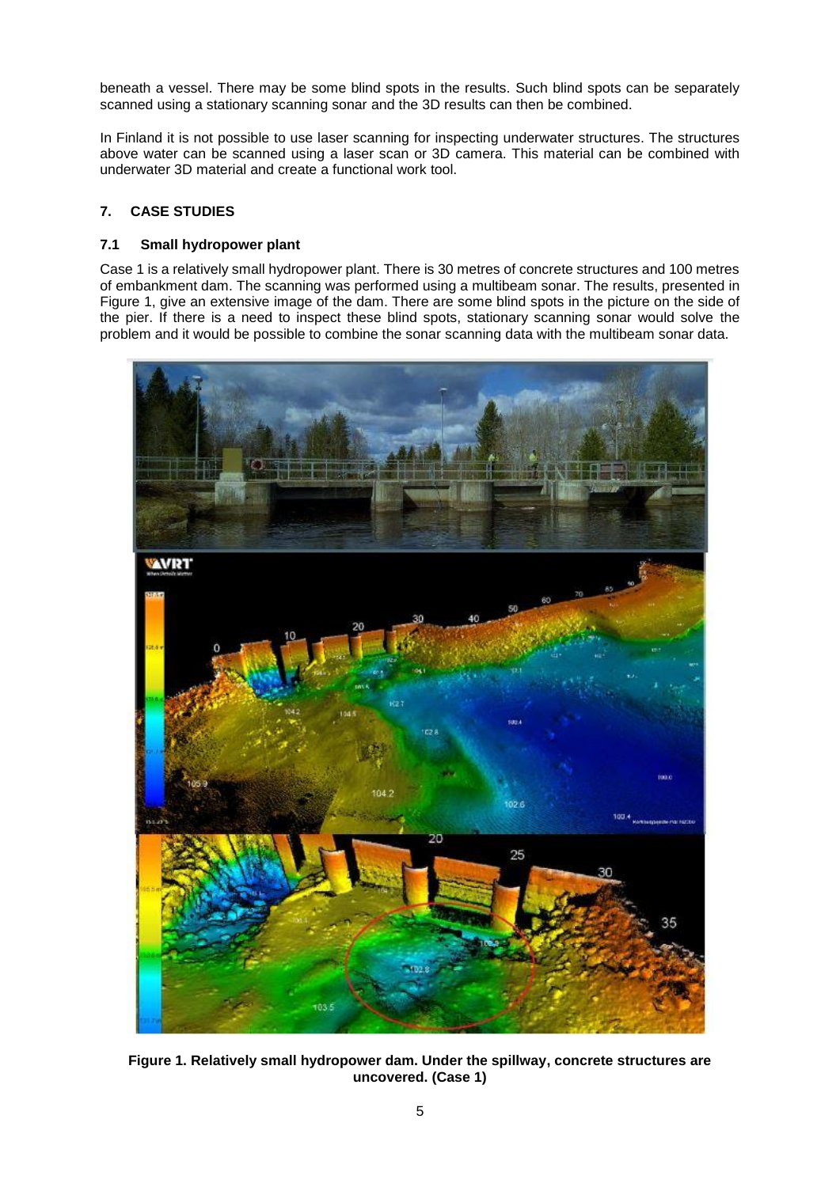beneath a vessel. There may be some blind spots in the results. Such blind spots can be separately scanned using a stationary scanning sonar and the 3D results can then be combined.

In Finland it is not possible to use laser scanning for inspecting underwater structures. The structures above water can be scanned using a laser scan or 3D camera. This material can be combined with underwater 3D material and create a functional work tool.

## **7. CASE STUDIES**

## **7.1 Small hydropower plant**

Case 1 is a relatively small hydropower plant. There is 30 metres of concrete structures and 100 metres of embankment dam. The scanning was performed using a multibeam sonar. The results, presented in Figure 1, give an extensive image of the dam. There are some blind spots in the picture on the side of the pier. If there is a need to inspect these blind spots, stationary scanning sonar would solve the problem and it would be possible to combine the sonar scanning data with the multibeam sonar data.



**Figure 1. Relatively small hydropower dam. Under the spillway, concrete structures are uncovered. (Case 1)**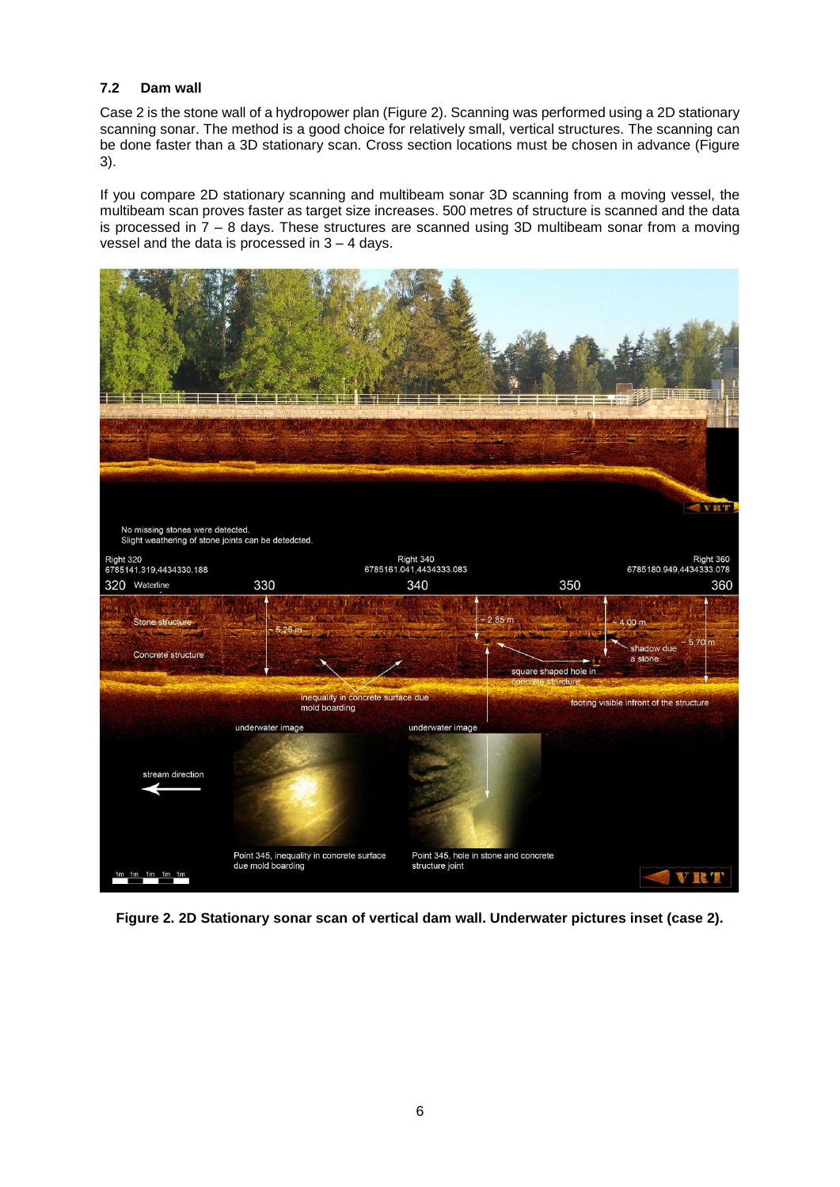## **7.2 Dam wall**

Case 2 is the stone wall of a hydropower plan (Figure 2). Scanning was performed using a 2D stationary scanning sonar. The method is a good choice for relatively small, vertical structures. The scanning can be done faster than a 3D stationary scan. Cross section locations must be chosen in advance (Figure 3).

If you compare 2D stationary scanning and multibeam sonar 3D scanning from a moving vessel, the multibeam scan proves faster as target size increases. 500 metres of structure is scanned and the data is processed in  $7 - 8$  days. These structures are scanned using 3D multibeam sonar from a moving vessel and the data is processed in 3 – 4 days.



**Figure 2. 2D Stationary sonar scan of vertical dam wall. Underwater pictures inset (case 2).**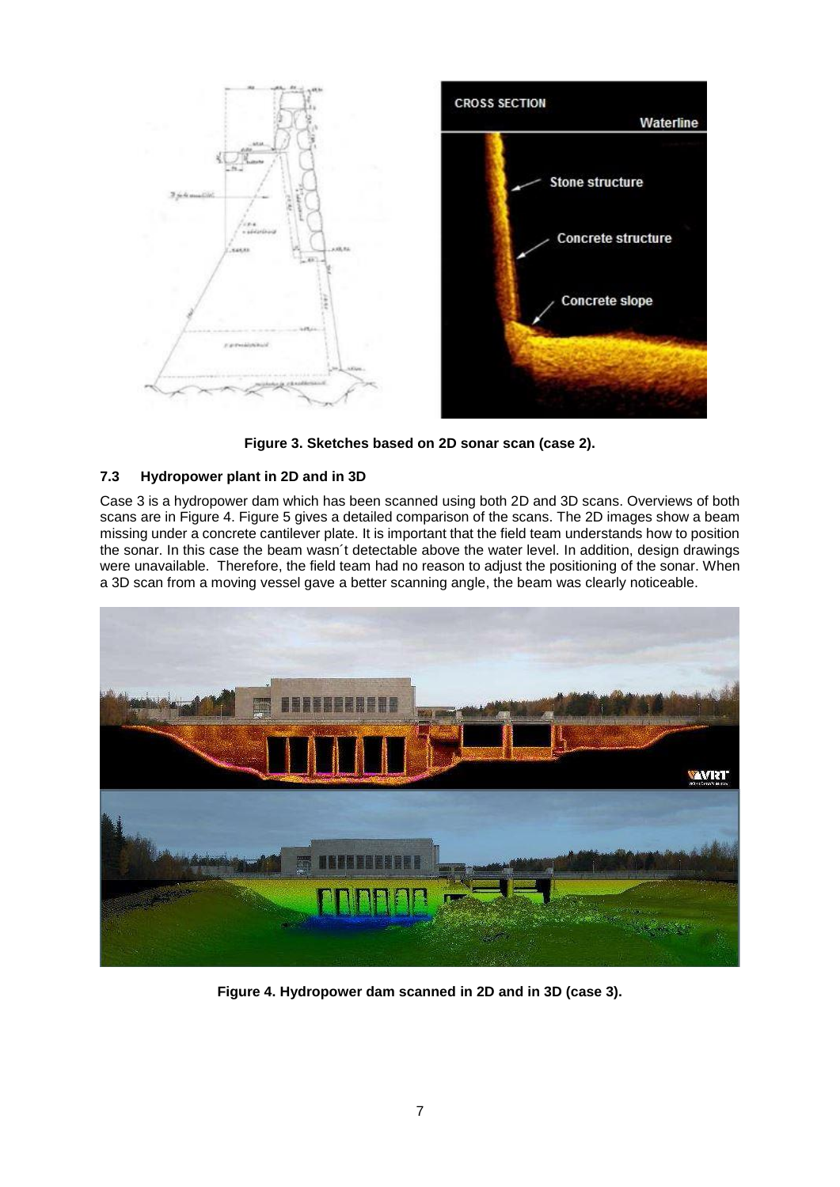

**Figure 3. Sketches based on 2D sonar scan (case 2).**

## **7.3 Hydropower plant in 2D and in 3D**

Case 3 is a hydropower dam which has been scanned using both 2D and 3D scans. Overviews of both scans are in Figure 4. Figure 5 gives a detailed comparison of the scans. The 2D images show a beam missing under a concrete cantilever plate. It is important that the field team understands how to position the sonar. In this case the beam wasn´t detectable above the water level. In addition, design drawings were unavailable. Therefore, the field team had no reason to adjust the positioning of the sonar. When a 3D scan from a moving vessel gave a better scanning angle, the beam was clearly noticeable.



**Figure 4. Hydropower dam scanned in 2D and in 3D (case 3).**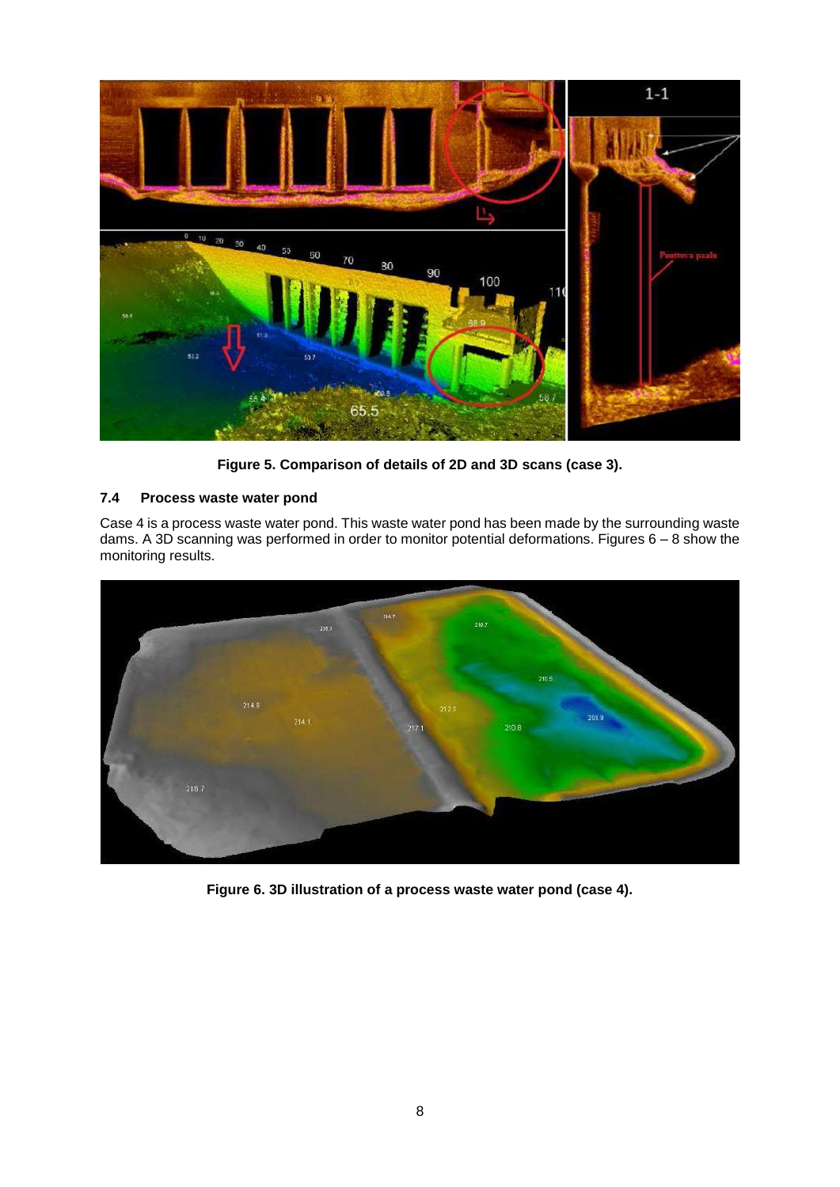

**Figure 5. Comparison of details of 2D and 3D scans (case 3).** 

## **7.4 Process waste water pond**

Case 4 is a process waste water pond. This waste water pond has been made by the surrounding waste dams. A 3D scanning was performed in order to monitor potential deformations. Figures 6 – 8 show the monitoring results.



**Figure 6. 3D illustration of a process waste water pond (case 4).**